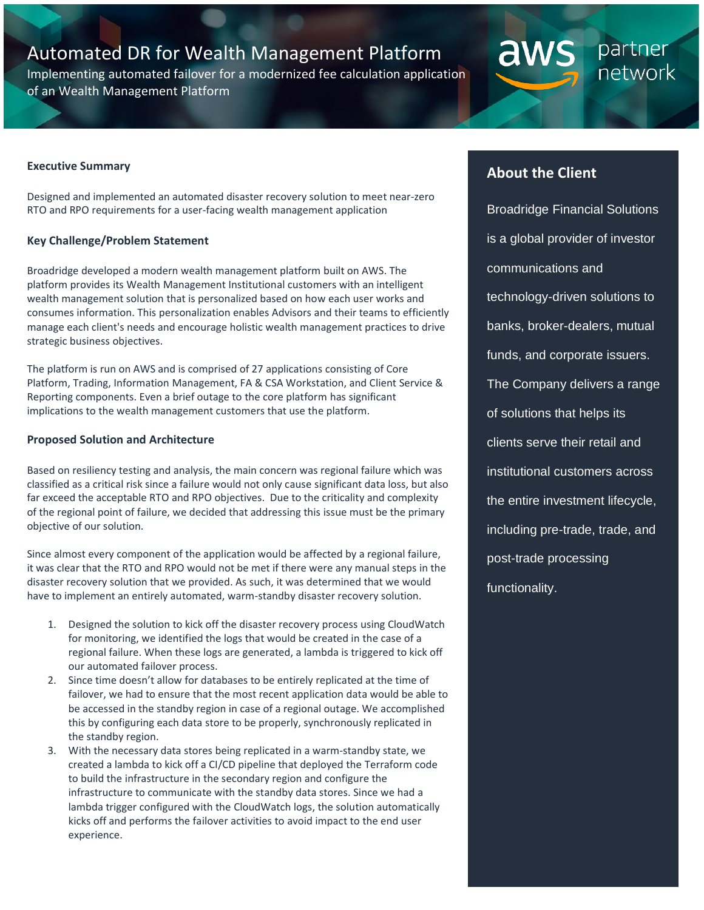# Automated DR for Wealth Management Platform

Implementing automated failover for a modernized fee calculation application of an Wealth Management Platform

## **About the Client**

aw

partner

network

Broadridge Financial Solutions is a global provider of investor communications and technology-driven solutions to banks, broker-dealers, mutual funds, and corporate issuers. The Company delivers a range of solutions that helps its clients serve their retail and institutional customers across the entire investment lifecycle, including pre-trade, trade, and post-trade processing functionality.

#### **Executive Summary**

Designed and implemented an automated disaster recovery solution to meet near-zero RTO and RPO requirements for a user-facing wealth management application

#### **Key Challenge/Problem Statement**

Broadridge developed a modern wealth management platform built on AWS. The platform provides its Wealth Management Institutional customers with an intelligent wealth management solution that is personalized based on how each user works and consumes information. This personalization enables Advisors and their teams to efficiently manage each client's needs and encourage holistic wealth management practices to drive strategic business objectives.

The platform is run on AWS and is comprised of 27 applications consisting of Core Platform, Trading, Information Management, FA & CSA Workstation, and Client Service & Reporting components. Even a brief outage to the core platform has significant implications to the wealth management customers that use the platform.

#### **Proposed Solution and Architecture**

Based on resiliency testing and analysis, the main concern was regional failure which was classified as a critical risk since a failure would not only cause significant data loss, but also far exceed the acceptable RTO and RPO objectives. Due to the criticality and complexity of the regional point of failure, we decided that addressing this issue must be the primary objective of our solution.

Since almost every component of the application would be affected by a regional failure, it was clear that the RTO and RPO would not be met if there were any manual steps in the disaster recovery solution that we provided. As such, it was determined that we would have to implement an entirely automated, warm-standby disaster recovery solution.

- 1. Designed the solution to kick off the disaster recovery process using CloudWatch for monitoring, we identified the logs that would be created in the case of a regional failure. When these logs are generated, a lambda is triggered to kick off our automated failover process.
- 2. Since time doesn't allow for databases to be entirely replicated at the time of failover, we had to ensure that the most recent application data would be able to be accessed in the standby region in case of a regional outage. We accomplished this by configuring each data store to be properly, synchronously replicated in the standby region.
- 3. With the necessary data stores being replicated in a warm-standby state, we created a lambda to kick off a CI/CD pipeline that deployed the Terraform code to build the infrastructure in the secondary region and configure the infrastructure to communicate with the standby data stores. Since we had a lambda trigger configured with the CloudWatch logs, the solution automatically kicks off and performs the failover activities to avoid impact to the end user experience.